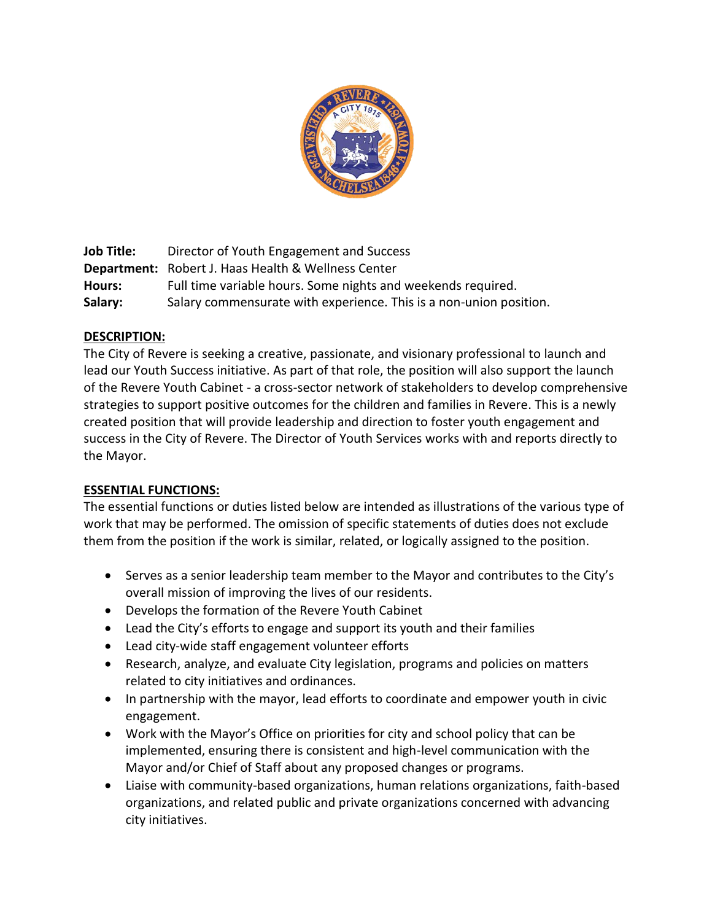

**Job Title:** Director of Youth Engagement and Success **Department:** Robert J. Haas Health & Wellness Center **Hours:** Full time variable hours. Some nights and weekends required. **Salary:** Salary commensurate with experience. This is a non-union position.

# **DESCRIPTION:**

The City of Revere is seeking a creative, passionate, and visionary professional to launch and lead our Youth Success initiative. As part of that role, the position will also support the launch of the Revere Youth Cabinet - a cross-sector network of stakeholders to develop comprehensive strategies to support positive outcomes for the children and families in Revere. This is a newly created position that will provide leadership and direction to foster youth engagement and success in the City of Revere. The Director of Youth Services works with and reports directly to the Mayor.

#### **ESSENTIAL FUNCTIONS:**

The essential functions or duties listed below are intended as illustrations of the various type of work that may be performed. The omission of specific statements of duties does not exclude them from the position if the work is similar, related, or logically assigned to the position.

- Serves as a senior leadership team member to the Mayor and contributes to the City's overall mission of improving the lives of our residents.
- Develops the formation of the Revere Youth Cabinet
- Lead the City's efforts to engage and support its youth and their families
- Lead city-wide staff engagement volunteer efforts
- Research, analyze, and evaluate City legislation, programs and policies on matters related to city initiatives and ordinances.
- In partnership with the mayor, lead efforts to coordinate and empower youth in civic engagement.
- Work with the Mayor's Office on priorities for city and school policy that can be implemented, ensuring there is consistent and high-level communication with the Mayor and/or Chief of Staff about any proposed changes or programs.
- Liaise with community-based organizations, human relations organizations, faith-based organizations, and related public and private organizations concerned with advancing city initiatives.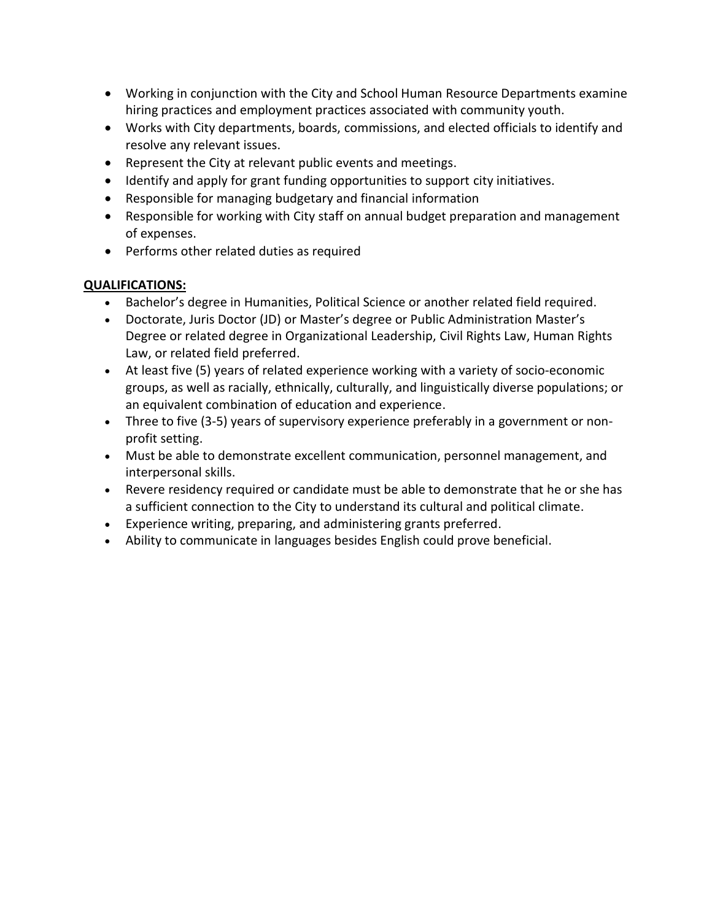- Working in conjunction with the City and School Human Resource Departments examine hiring practices and employment practices associated with community youth.
- Works with City departments, boards, commissions, and elected officials to identify and resolve any relevant issues.
- Represent the City at relevant public events and meetings.
- Identify and apply for grant funding opportunities to support city initiatives.
- Responsible for managing budgetary and financial information
- Responsible for working with City staff on annual budget preparation and management of expenses.
- Performs other related duties as required

### **QUALIFICATIONS:**

- Bachelor's degree in Humanities, Political Science or another related field required.
- Doctorate, Juris Doctor (JD) or Master's degree or Public Administration Master's Degree or related degree in Organizational Leadership, Civil Rights Law, Human Rights Law, or related field preferred.
- At least five (5) years of related experience working with a variety of socio-economic groups, as well as racially, ethnically, culturally, and linguistically diverse populations; or an equivalent combination of education and experience.
- Three to five (3-5) years of supervisory experience preferably in a government or nonprofit setting.
- Must be able to demonstrate excellent communication, personnel management, and interpersonal skills.
- Revere residency required or candidate must be able to demonstrate that he or she has a sufficient connection to the City to understand its cultural and political climate.
- Experience writing, preparing, and administering grants preferred.
- Ability to communicate in languages besides English could prove beneficial.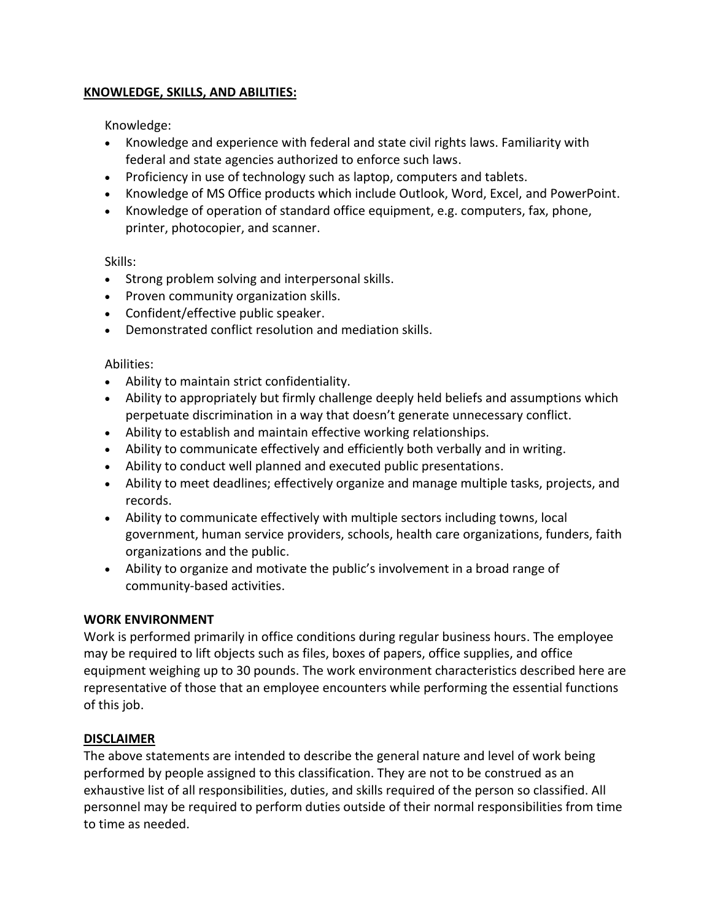### **KNOWLEDGE, SKILLS, AND ABILITIES:**

Knowledge:

- Knowledge and experience with federal and state civil rights laws. Familiarity with federal and state agencies authorized to enforce such laws.
- Proficiency in use of technology such as laptop, computers and tablets.
- Knowledge of MS Office products which include Outlook, Word, Excel, and PowerPoint.
- Knowledge of operation of standard office equipment, e.g. computers, fax, phone, printer, photocopier, and scanner.

Skills:

- Strong problem solving and interpersonal skills.
- Proven community organization skills.
- Confident/effective public speaker.
- Demonstrated conflict resolution and mediation skills.

### Abilities:

- Ability to maintain strict confidentiality.
- Ability to appropriately but firmly challenge deeply held beliefs and assumptions which perpetuate discrimination in a way that doesn't generate unnecessary conflict.
- Ability to establish and maintain effective working relationships.
- Ability to communicate effectively and efficiently both verbally and in writing.
- Ability to conduct well planned and executed public presentations.
- Ability to meet deadlines; effectively organize and manage multiple tasks, projects, and records.
- Ability to communicate effectively with multiple sectors including towns, local government, human service providers, schools, health care organizations, funders, faith organizations and the public.
- Ability to organize and motivate the public's involvement in a broad range of community-based activities.

# **WORK ENVIRONMENT**

Work is performed primarily in office conditions during regular business hours. The employee may be required to lift objects such as files, boxes of papers, office supplies, and office equipment weighing up to 30 pounds. The work environment characteristics described here are representative of those that an employee encounters while performing the essential functions of this job.

# **DISCLAIMER**

The above statements are intended to describe the general nature and level of work being performed by people assigned to this classification. They are not to be construed as an exhaustive list of all responsibilities, duties, and skills required of the person so classified. All personnel may be required to perform duties outside of their normal responsibilities from time to time as needed.